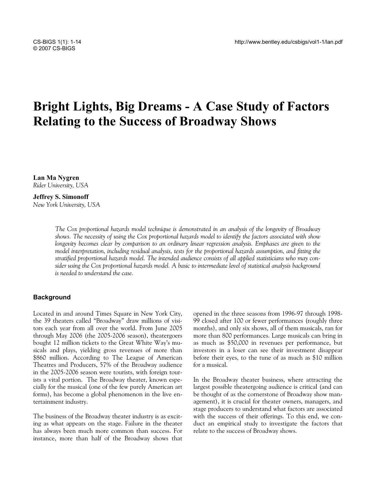# **Bright Lights, Big Dreams - A Case Study of Factors Relating to the Success of Broadway Shows**

**Lan Ma Nygren**  *Rider University, USA* 

# **Jeffrey S. Simonoff**  *New York University, USA*

*The Cox proportional hazards model technique is demonstrated in an analysis of the longevity of Broadway shows. The necessity of using the Cox proportional hazards model to identify the factors associated with show longevity becomes clear by comparison to an ordinary linear regression analysis. Emphases are given to the model interpretation, including residual analysis, tests for the proportional hazards assumption, and fitting the stratified proportional hazards model. The intended audience consists of all applied statisticians who may consider using the Cox proportional hazards model. A basic to intermediate level of statistical analysis background is needed to understand the case.* 

# **Background**

Located in and around Times Square in New York City, the 39 theaters called "Broadway" draw millions of visitors each year from all over the world. From June 2005 through May 2006 (the 2005-2006 season), theatergoers bought 12 million tickets to the Great White Way's musicals and plays, yielding gross revenues of more than \$860 million. According to The League of American Theatres and Producers, 57% of the Broadway audience in the 2005-2006 season were tourists, with foreign tourists a vital portion. The Broadway theater, known especially for the musical (one of the few purely American art forms), has become a global phenomenon in the live entertainment industry.

The business of the Broadway theater industry is as exciting as what appears on the stage. Failure in the theater has always been much more common than success. For instance, more than half of the Broadway shows that opened in the three seasons from 1996-97 through 1998- 99 closed after 100 or fewer performances (roughly three months), and only six shows, all of them musicals, ran for more than 800 performances. Large musicals can bring in as much as \$50,000 in revenues per performance, but investors in a loser can see their investment disappear before their eyes, to the tune of as much as \$10 million for a musical.

In the Broadway theater business, where attracting the largest possible theatergoing audience is critical (and can be thought of as the cornerstone of Broadway show management), it is crucial for theater owners, managers, and stage producers to understand what factors are associated with the success of their offerings. To this end, we conduct an empirical study to investigate the factors that relate to the success of Broadway shows.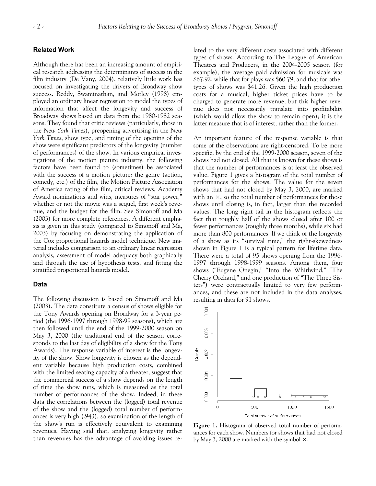# **Related Work**

Although there has been an increasing amount of empirical research addressing the determinants of success in the film industry (De Vany, 2004), relatively little work has focused on investigating the drivers of Broadway show success. Reddy, Swaminathan, and Motley (1998) employed an ordinary linear regression to model the types of information that affect the longevity and success of Broadway shows based on data from the 1980-1982 seasons. They found that critic reviews (particularly, those in the *New York Times*), preopening advertising in the *New York Times*, show type, and timing of the opening of the show were significant predictors of the longevity (number of performances) of the show. In various empirical investigations of the motion picture industry, the following factors have been found to (sometimes) be associated with the success of a motion picture: the genre (action, comedy, etc.) of the film, the Motion Picture Association of America rating of the film, critical reviews, Academy Award nominations and wins, measures of "star power," whether or not the movie was a sequel, first week's revenue, and the budget for the film. See Simonoff and Ma (2003) for more complete references. A different emphasis is given in this study (compared to Simonoff and Ma, 2003) by focusing on demonstrating the application of the Cox proportional hazards model technique. New material includes comparison to an ordinary linear regression analysis, assessment of model adequacy both graphically and through the use of hypothesis tests, and fitting the stratified proportional hazards model.

#### **Data**

The following discussion is based on Simonoff and Ma (2003). The data constitute a census of shows eligible for the Tony Awards opening on Broadway for a 3-year period (the 1996-1997 through 1998-99 seasons), which are then followed until the end of the 1999-2000 season on May 3, 2000 (the traditional end of the season corresponds to the last day of eligibility of a show for the Tony Awards). The response variable of interest is the longevity of the show. Show longevity is chosen as the dependent variable because high production costs, combined with the limited seating capacity of a theater, suggest that the commercial success of a show depends on the length of time the show runs, which is measured as the total number of performances of the show. Indeed, in these data the correlations between the (logged) total revenue of the show and the (logged) total number of performances is very high (.943), so examination of the length of the show's run is effectively equivalent to examining revenues. Having said that, analyzing longevity rather than revenues has the advantage of avoiding issues related to the very different costs associated with different types of shows. According to The League of American Theatres and Producers, in the 2004-2005 season (for example), the average paid admission for musicals was \$67.92, while that for plays was \$60.79, and that for other types of shows was \$41.26. Given the high production costs for a musical, higher ticket prices have to be charged to generate more revenue, but this higher revenue does not necessarily translate into profitability (which would allow the show to remain open); it is the latter measure that is of interest, rather than the former.

An important feature of the response variable is that some of the observations are right-censored. To be more specific, by the end of the 1999-2000 season, seven of the shows had not closed. All that is known for these shows is that the number of performances is at least the observed value. Figure 1 gives a histogram of the total number of performances for the shows. The value for the seven shows that had not closed by May 3, 2000, are marked with an  $\times$ , so the total number of performances for those shows until closing is, in fact, larger than the recorded values. The long right tail in the histogram reflects the fact that roughly half of the shows closed after 100 or fewer performances (roughly three months), while six had more than 800 performances. If we think of the longevity of a show as its "survival time," the right-skewedness shown in Figure 1 is a typical pattern for lifetime data. There were a total of 95 shows opening from the 1996- 1997 through 1998-1999 seasons. Among them, four shows ("Eugene Onegin," "Into the Whirlwind," "The Cherry Orchard," and one production of "The Three Sisters") were contractually limited to very few performances, and these are not included in the data analyses, resulting in data for 91 shows.



**Figure 1.** Histogram of observed total number of performances for each show. Numbers for shows that had not closed by May 3, 2000 are marked with the symbol  $\times$ .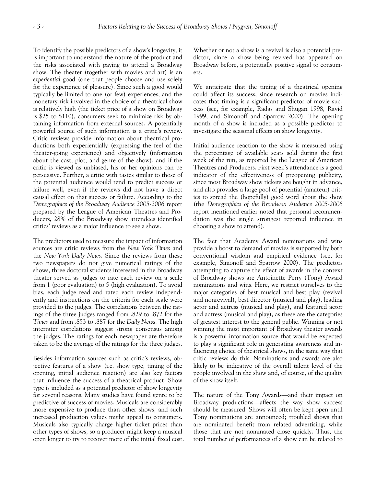To identify the possible predictors of a show's longevity, it is important to understand the nature of the product and the risks associated with paying to attend a Broadway show. The theater (together with movies and art) is an *experiential* good (one that people choose and use solely for the experience of pleasure). Since such a good would typically be limited to one (or few) experiences, and the monetary risk involved in the choice of a theatrical show is relatively high (the ticket price of a show on Broadway is \$25 to \$110), consumers seek to minimize risk by obtaining information from external sources. A potentially powerful source of such information is a critic's review. Critic reviews provide information about theatrical productions both experientially (expressing the feel of the theater-going experience) and objectively (information about the cast, plot, and genre of the show), and if the critic is viewed as unbiased, his or her opinions can be persuasive. Further, a critic with tastes similar to those of the potential audience would tend to predict success or failure well, even if the reviews did not have a direct causal effect on that success or failure. According to the *Demographics of the Broadway Audience 2005-2006* report prepared by the League of American Theatres and Producers, 28% of the Broadway show attendees identified critics' reviews as a major influence to see a show.

The predictors used to measure the impact of information sources are critic reviews from the *New York Times* and the *New York Daily News*. Since the reviews from these two newspapers do not give numerical ratings of the shows, three doctoral students interested in the Broadway theater served as judges to rate each review on a scale from 1 (poor evaluation) to 5 (high evaluation). To avoid bias, each judge read and rated each review independently and instructions on the criteria for each scale were provided to the judges. The correlations between the ratings of the three judges ranged from .829 to .872 for the *Times* and from .853 to .887 for the *Daily News*. The high interrater correlations suggest strong consensus among the judges. The ratings for each newspaper are therefore taken to be the average of the ratings for the three judges.

Besides information sources such as critic's reviews, objective features of a show (i.e. show type, timing of the opening, initial audience reaction) are also key factors that influence the success of a theatrical product. Show type is included as a potential predictor of show longevity for several reasons. Many studies have found genre to be predictive of success of movies. Musicals are considerably more expensive to produce than other shows, and such increased production values might appeal to consumers. Musicals also typically charge higher ticket prices than other types of shows, so a producer might keep a musical open longer to try to recover more of the initial fixed cost. Whether or not a show is a revival is also a potential predictor, since a show being revived has appeared on Broadway before, a potentially positive signal to consumers.

We anticipate that the timing of a theatrical opening could affect its success, since research on movies indicates that timing is a significant predictor of movie success (see, for example, Radas and Shugan 1998, Ravid 1999, and Simonoff and Sparrow 2000). The opening month of a show is included as a possible predictor to investigate the seasonal effects on show longevity.

Initial audience reaction to the show is measured using the percentage of available seats sold during the first week of the run, as reported by the League of American Theatres and Producers. First week's attendance is a good indicator of the effectiveness of preopening publicity, since most Broadway show tickets are bought in advance, and also provides a large pool of potential (amateur) critics to spread the (hopefully) good word about the show (the *Demographics of the Broadway Audience 2005-2006* report mentioned earlier noted that personal recommendation was the single strongest reported influence in choosing a show to attend).

The fact that Academy Award nominations and wins provide a boost to demand of movies is supported by both conventional wisdom and empirical evidence (see, for example, Simonoff and Sparrow 2000). The predictors attempting to capture the effect of awards in the context of Broadway shows are Antoinette Perry (Tony) Award nominations and wins. Here, we restrict ourselves to the major categories of best musical and best play (revival and nonrevival), best director (musical and play), leading actor and actress (musical and play), and featured actor and actress (musical and play), as these are the categories of greatest interest to the general public. Winning or not winning the most important of Broadway theater awards is a powerful information source that would be expected to play a significant role in generating awareness and influencing choice of theatrical shows, in the same way that critic reviews do this. Nominations and awards are also likely to be indicative of the overall talent level of the people involved in the show and, of course, of the quality of the show itself.

The nature of the Tony Awards—and their impact on Broadway productions—affects the way show success should be measured. Shows will often be kept open until Tony nominations are announced; troubled shows that are nominated benefit from related advertising, while those that are not nominated close quickly. Thus, the total number of performances of a show can be related to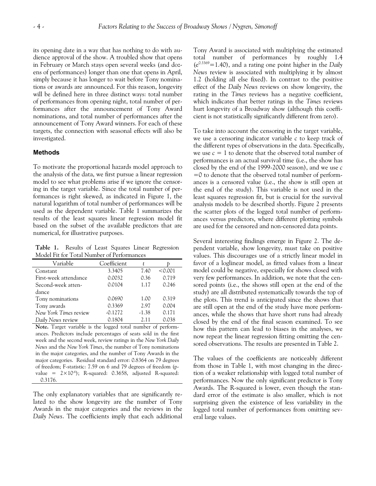its opening date in a way that has nothing to do with audience approval of the show. A troubled show that opens in February or March stays open several weeks (and dozens of performances) longer than one that opens in April, simply because it has longer to wait before Tony nominations or awards are announced. For this reason, longevity will be defined here in three distinct ways: total number of performances from opening night, total number of performances after the announcement of Tony Award nominations, and total number of performances after the announcement of Tony Award winners. For each of these targets, the connection with seasonal effects will also be investigated.

## **Methods**

To motivate the proportional hazards model approach to the analysis of the data, we first pursue a linear regression model to see what problems arise if we ignore the censoring in the target variable. Since the total number of performances is right skewed, as indicated in Figure 1, the natural logarithm of total number of performances will be used as the dependent variable. Table 1 summarizes the results of the least squares linear regression model fit based on the subset of the available predictors that are numerical, for illustrative purposes.

**Table 1.** Results of Least Squares Linear Regression Model Fit for Total Number of Performances

| Variable              | Coefficient |         |         |  |
|-----------------------|-------------|---------|---------|--|
| Constant              | 3.3405      | 7.40    | < 0.001 |  |
| First-week attendance | 0.0032      | 0.36    | 0.719   |  |
| Second-week atten-    | 0.0104      | 1.17    | 0.246   |  |
| dance                 |             |         |         |  |
| Tony nominations      | 0.0690      | 1.00    | 0.319   |  |
| Tony awards           | 0.3369      | 2.97    | 0.004   |  |
| New York Times review | $-0.1272$   | $-1.38$ | 0.171   |  |
| Daily News review     | 0.1804      | 2.11    | 0.038   |  |

**Note.** Target variable is the logged total number of performances. Predictors include percentages of seats sold in the first week and the second week, review ratings in the *New York Daily News* and the *New York Times*, the number of Tony nominations in the major categories, and the number of Tony Awards in the major categories. Residual standard error: 0.8364 on 79 degrees of freedom; F-statistic: 7.59 on 6 and 79 degrees of freedom (pvalue =  $2 \times 10^{-6}$ ); R-squared: 0.3658, adjusted R-squared: 0.3176.

The only explanatory variables that are significantly related to the show longevity are the number of Tony Awards in the major categories and the reviews in the *Daily News*. The coefficients imply that each additional Tony Award is associated with multiplying the estimated total number of performances by roughly 1.4  $(e^{0.3369} = 1.40)$ , and a rating one point higher in the *Daily News* review is associated with multiplying it by almost 1.2 (holding all else fixed). In contrast to the positive effect of the *Daily News* reviews on show longevity, the rating in the *Times* reviews has a negative coefficient, which indicates that better ratings in the *Times* reviews hurt longevity of a Broadway show (although this coefficient is not statistically significantly different from zero).

To take into account the censoring in the target variable, we use a censoring indicator variable *c* to keep track of the different types of observations in the data. Specifically, we use  $c = 1$  to denote that the observed total number of performances is an actual survival time (i.e., the show has closed by the end of the 1999-2000 season), and we use *c*  $=0$  to denote that the observed total number of performances is a censored value (i.e., the show is still open at the end of the study). This variable is not used in the least squares regression fit, but is crucial for the survival analysis models to be described shortly. Figure 2 presents the scatter plots of the logged total number of performances versus predictors, where different plotting symbols are used for the censored and non-censored data points.

Several interesting findings emerge in Figure 2. The dependent variable, show longevity, must take on positive values. This discourages use of a strictly linear model in favor of a loglinear model, as fitted values from a linear model could be negative, especially for shows closed with very few performances. In addition, we note that the censored points (i.e., the shows still open at the end of the study) are all distributed systematically towards the top of the plots. This trend is anticipated since the shows that are still open at the end of the study have more performances, while the shows that have short runs had already closed by the end of the final season examined. To see how this pattern can lead to biases in the analyses, we now repeat the linear regression fitting omitting the censored observations. The results are presented in Table 2.

The values of the coefficients are noticeably different from those in Table 1, with most changing in the direction of a weaker relationship with logged total number of performances. Now the only significant predictor is Tony Awards. The R-squared is lower, even though the standard error of the estimate is also smaller, which is not surprising given the existence of less variability in the logged total number of performances from omitting several large values.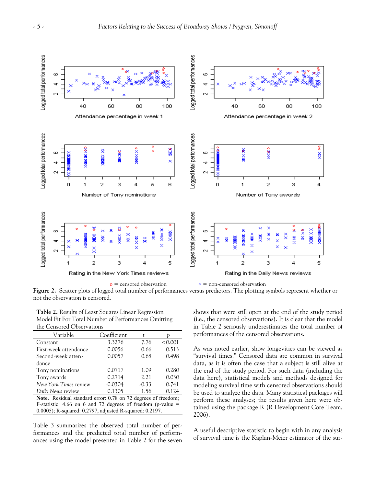

 $o =$  censored observation  $x =$  non-censored observation

**Figure 2.** Scatter plots of logged total number of performances versus predictors. The plotting symbols represent whether or not the observation is censored.

| Table 2. Results of Least Squares Linear Regression |
|-----------------------------------------------------|
| Model Fit For Total Number of Performances Omitting |
| the Censored Observations                           |

| Variable                                                      | Coefficient |         |         |  |
|---------------------------------------------------------------|-------------|---------|---------|--|
| Constant                                                      | 3.3276      | 7.76    | < 0.001 |  |
| First-week attendance                                         | 0.0056      | 0.66    | 0.513   |  |
| Second-week atten-                                            | 0.0057      | 0.68    | 0.498   |  |
| dance                                                         |             |         |         |  |
| Tony nominations                                              | 0.0717      | 1.09    | 0.280   |  |
| Tony awards                                                   | 0.2714      | 2.21    | 0.030   |  |
| New York Times review                                         | $-0.0304$   | $-0.33$ | 0.741   |  |
| Daily News review                                             | 0.1305      | 1.56    | 0.124   |  |
| Note. Residual standard error: 0.78 on 72 degrees of freedom; |             |         |         |  |
| Print 177 7 170 1 00 1 1 1                                    |             |         |         |  |

F-statistic: 4.66 on 6 and 72 degrees of freedom (p-value = 0.0005); R-squared: 0.2797, adjusted R-squared: 0.2197.

Table 3 summarizes the observed total number of performances and the predicted total number of performances using the model presented in Table 2 for the seven shows that were still open at the end of the study period (i.e., the censored observations). It is clear that the model in Table 2 seriously underestimates the total number of performances of the censored observations.

As was noted earlier, show longevities can be viewed as "survival times." Censored data are common in survival data, as it is often the case that a subject is still alive at the end of the study period. For such data (including the data here), statistical models and methods designed for modeling survival time with censored observations should be used to analyze the data. Many statistical packages will perform these analyses; the results given here were obtained using the package R (R Development Core Team, 2006).

A useful descriptive statistic to begin with in any analysis of survival time is the Kaplan-Meier estimator of the sur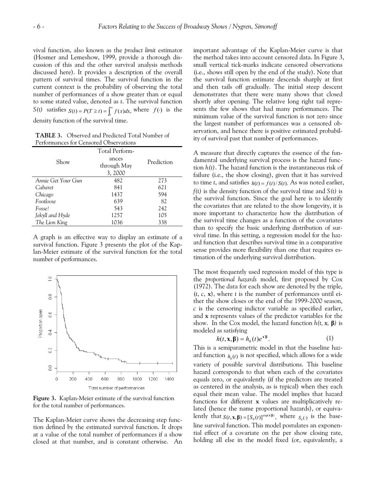vival function, also known as the *product limit* estimator (Hosmer and Lemeshow, 1999, provide a thorough discussion of this and the other survival analysis methods discussed here). It provides a description of the overall pattern of survival times. The survival function in the current context is the probability of observing the total number of performances of a show greater than or equal to some stated value, denoted as *t*. The survival function S(*t*) satisfies  $S(t) = P(T \ge t) = \int_{t}^{\infty} f(x)dx$ , where  $f(\cdot)$  is the

density function of the survival time.

**TABLE 3.** Observed and Predicted Total Number of Performances for Censored Observations

| Show               | Total Perform-<br>ances<br>through May<br>3,2000 | Prediction |
|--------------------|--------------------------------------------------|------------|
| Annie Get Your Gun | 482                                              | 273        |
| Cabaret            | 841                                              | 621        |
| Chicago            | 1437                                             | 594        |
| Footloose          | 639                                              | 82         |
| Fosse!             | 543                                              | 242        |
| Jekyll and Hyde    | 1257                                             | 105        |
| The Lion King      | 1036                                             | 338        |

A graph is an effective way to display an estimate of a survival function. Figure 3 presents the plot of the Kaplan-Meier estimate of the survival function for the total number of performances.



**Figure 3.** Kaplan-Meier estimate of the survival function for the total number of performances.

The Kaplan-Meier curve shows the decreasing step function defined by the estimated survival function. It drops at a value of the total number of performances if a show closed at that number, and is constant otherwise. An important advantage of the Kaplan-Meier curve is that the method takes into account censored data. In Figure 3, small vertical tick-marks indicate censored observations (i.e., shows still open by the end of the study). Note that the survival function estimate descends sharply at first and then tails off gradually. The initial steep descent demonstrates that there were many shows that closed shortly after opening. The relative long right tail represents the few shows that had many performances. The minimum value of the survival function is not zero since the largest number of performances was a censored observation, and hence there is positive estimated probability of survival past that number of performances.

A measure that directly captures the essence of the fundamental underlying survival process is the hazard function *h(t)*. The hazard function is the instantaneous risk of failure (i.e., the show closing), given that it has survived to time *t*, and satisfies  $h(t) = f(t)/S(t)$ . As was noted earlier, *f(t)* is the density function of the survival time and *S(t)* is the survival function. Since the goal here is to identify the covariates that are related to the show longevity, it is more important to characterize how the distribution of the survival time changes as a function of the covariates than to specify the basic underlying distribution of survival time. In this setting, a regression model for the hazard function that describes survival time in a comparative sense provides more flexibility than one that requires estimation of the underlying survival distribution.

The most frequently used regression model of this type is the *proportional hazards* model, first proposed by Cox (1972). The data for each show are denoted by the triple, (*t*, *c*, **x**), where *t* is the number of performances until either the show closes or the end of the 1999-2000 season, *c* is the censoring indictor variable as specified earlier, and **x** represents values of the predictor variables for the show. In the Cox model, the hazard function  $h(t, x, \beta)$  is modeled as satisfying

$$
h(t, \mathbf{x}, \boldsymbol{\beta}) = h_0(t)e^{\mathbf{x}'\boldsymbol{\beta}}.
$$
 (1)

This is a semiparametric model in that the baseline hazard function  $h_0(t)$  is not specified, which allows for a wide variety of possible survival distributions. This baseline hazard corresponds to that when each of the covariates equals zero, or equivalently (if the predictors are treated as centered in the analysis, as is typical) when they each equal their mean value. The model implies that hazard functions for different **x** values are multiplicatively related (hence the name proportional hazards), or equivalently that  $S(t, \mathbf{x}, \boldsymbol{\beta}) = [S_0(t)]^{\exp(\mathbf{x} \cdot \boldsymbol{\beta})}$ , where  $S_0(\cdot)$  is the baseline survival function. This model postulates an exponential effect of a covariate on the per show closing rate, holding all else in the model fixed (or, equivalently, a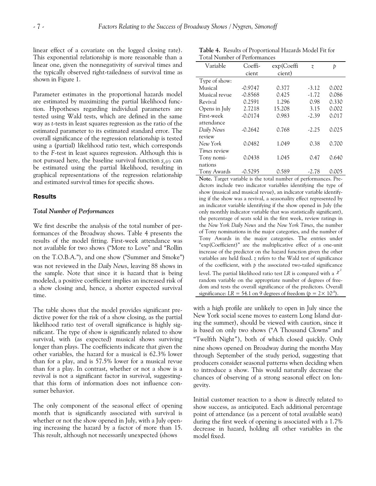linear effect of a covariate on the logged closing rate). This exponential relationship is more reasonable than a linear one, given the nonnegativity of survival times and the typically observed right-tailedness of survival time as shown in Figure 1.

Parameter estimates in the proportional hazards model are estimated by maximizing the partial likelihood function. Hypotheses regarding individual parameters are tested using Wald tests, which are defined in the same way as *t*-tests in least squares regression as the ratio of the estimated parameter to its estimated standard error. The overall significance of the regression relationship is tested using a (partial) likelihood ratio test, which corresponds to the *F*-test in least squares regression. Although this is not pursued here, the baseline survival function  $s_{\sigma}(t)$  can be estimated using the partial likelihood, resulting in graphical representations of the regression relationship and estimated survival times for specific shows.

## **Results**

#### *Total Number of Performances*

We first describe the analysis of the total number of performances of the Broadway shows. Table 4 presents the results of the model fitting. First-week attendance was not available for two shows ("More to Love" and "Rollin on the T.O.B.A."), and one show ("Summer and Smoke") was not reviewed in the *Daily News*, leaving 88 shows in the sample. Note that since it is hazard that is being modeled, a positive coefficient implies an increased risk of a show closing and, hence, a shorter expected survival time.

The table shows that the model provides significant predictive power for the risk of a show closing, as the partial likelihood ratio test of overall significance is highly significant. The type of show is significantly related to show survival, with (as expected) musical shows surviving longer than plays. The coefficients indicate that given the other variables, the hazard for a musical is 62.3% lower than for a play, and is 57.5% lower for a musical revue than for a play. In contrast, whether or not a show is a revival is not a significant factor in survival, suggestingthat this form of information does not influence consumer behavior.

The only component of the seasonal effect of opening month that is significantly associated with survival is whether or not the show opened in July, with a July opening increasing the hazard by a factor of more than 15. This result, although not necessarily unexpected (shows

**Table 4.** Results of Proportional Hazards Model Fit for Total Number of Performances

| Variable            | Coeffi-   | exp(Coeffi) | $\widetilde{\mathcal{X}}$ | Þ     |
|---------------------|-----------|-------------|---------------------------|-------|
|                     | cient     | cient)      |                           |       |
| Type of show:       |           |             |                           |       |
| Musical             | $-0.9747$ | 0.377       | $-3.12$                   | 0.002 |
| Musical revue       | $-0.8568$ | 0.425       | $-1.72$                   | 0.086 |
| Revival             | 0.2591    | 1.296       | 0.98                      | 0.330 |
| Opens in July       | 2.7218    | 15.208      | 3.15                      | 0.002 |
| First-week          | $-0.0174$ | 0.983       | $-2.39$                   | 0.017 |
| attendance          |           |             |                           |       |
| Daily News          | $-0.2642$ | 0.768       | $-2.25$                   | 0.025 |
| review              |           |             |                           |       |
| New York            | 0.0482    | 1.049       | 0.38                      | 0.700 |
| <i>Times</i> review |           |             |                           |       |
| Tony nomi-          | 0.0438    | 1.045       | 0.47                      | 0.640 |
| nations             |           |             |                           |       |
| Tony Awards         | $-0.5295$ | 0.589       | $-2.78$                   | 0.005 |

**Note.** Target variable is the total number of performances. Predictors include two indicator variables identifying the type of show (musical and musical revue), an indicator variable identifying if the show was a revival, a seasonality effect represented by an indicator variable identifying if the show opened in July (the only monthly indicator variable that was statistically significant), the percentage of seats sold in the first week, review ratings in the *New York Daily News* and the *New York Times*, the number of Tony nominations in the major categories, and the number of Tony Awards in the major categories. The entries under "exp(Coefficient)" are the multiplicative effect of a one-unit increase of the predictor on the hazard function given the other variables are held fixed. *z* refers to the Wald test of significance of the coefficient, with *p* the associated two-tailed significance level. The partial likelihood ratio test LR is compared with a  $\chi^2$ random variable on the appropriate number of degrees of freedom and tests the overall significance of the predictors. Overall significance:  $LR = 54.1$  on 9 degrees of freedom ( $p = 2 \times 10^{-8}$ ).

with a high profile are unlikely to open in July since the New York social scene moves to eastern Long Island during the summer), should be viewed with caution, since it is based on only two shows ("A Thousand Clowns" and "Twelfth Night"), both of which closed quickly. Only nine shows opened on Broadway during the months May through September of the study period, suggesting that producers consider seasonal patterns when deciding when to introduce a show. This would naturally decrease the chances of observing of a strong seasonal effect on longevity.

Initial customer reaction to a show is directly related to show success, as anticipated. Each additional percentage point of attendance (as a percent of total available seats) during the first week of opening is associated with a 1.7% decrease in hazard, holding all other variables in the model fixed.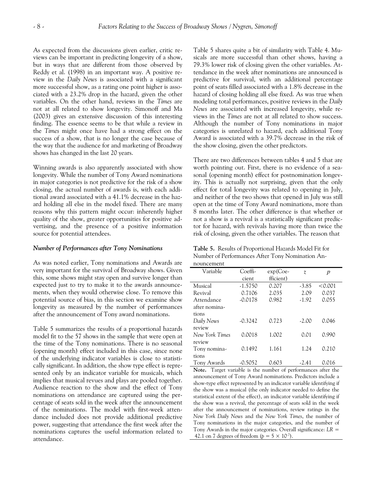As expected from the discussions given earlier, critic reviews can be important in predicting longevity of a show, but in ways that are different from those observed by Reddy et al. (1998) in an important way. A positive review in the *Daily News* is associated with a significant more successful show, as a rating one point higher is associated with a 23.2% drop in the hazard, given the other variables. On the other hand, reviews in the *Times* are not at all related to show longevity. Simonoff and Ma (2003) gives an extensive discussion of this interesting finding. The essence seems to be that while a review in the *Times* might once have had a strong effect on the success of a show, that is no longer the case because of the way that the audience for and marketing of Broadway shows has changed in the last 20 years.

Winning awards is also apparently associated with show longevity. While the number of Tony Award nominations in major categories is not predictive for the risk of a show closing, the actual number of awards is, with each additional award associated with a 41.1% decrease in the hazard holding all else in the model fixed. There are many reasons why this pattern might occur: inherently higher quality of the show, greater opportunities for positive advertising, and the presence of a positive information source for potential attendees.

#### *Number of Performances after Tony Nominations*

As was noted earlier, Tony nominations and Awards are very important for the survival of Broadway shows. Given this, some shows might stay open and survive longer than expected just to try to make it to the awards announcements, when they would otherwise close. To remove this potential source of bias, in this section we examine show longevity as measured by the number of performances after the announcement of Tony award nominations.

Table 5 summarizes the results of a proportional hazards model fit to the 57 shows in the sample that were open at the time of the Tony nominations. There is no seasonal (opening month) effect included in this case, since none of the underlying indicator variables is close to statistically significant. In addition, the show type effect is represented only by an indicator variable for musicals, which implies that musical revues and plays are pooled together. Audience reaction to the show and the effect of Tony nominations on attendance are captured using the percentage of seats sold in the week after the announcement of the nominations. The model with first-week attendance included does not provide additional predictive power, suggesting that attendance the first week after the nominations captures the useful information related to attendance.

Table 5 shares quite a bit of similarity with Table 4. Musicals are more successful than other shows, having a 79.3% lower risk of closing given the other variables. Attendance in the week after nominations are announced is predictive for survival, with an additional percentage point of seats filled associated with a 1.8% decrease in the hazard of closing holding all else fixed. As was true when modeling total performances, positive reviews in the *Daily News* are associated with increased longevity, while reviews in the *Times* are not at all related to show success. Although the number of Tony nominations in major categories is unrelated to hazard, each additional Tony Award is associated with a 39.7% decrease in the risk of the show closing, given the other predictors.

There are two differences between tables 4 and 5 that are worth pointing out. First, there is no evidence of a seasonal (opening month) effect for postnomination longevity. This is actually not surprising, given that the only effect for total longevity was related to opening in July, and neither of the two shows that opened in July was still open at the time of Tony Award nominations, more than 8 months later. The other difference is that whether or not a show is a revival is a statistically significant predictor for hazard, with revivals having more than twice the risk of closing, given the other variables. The reason that

**Table 5.** Results of Proportional Hazards Model Fit for Number of Performances After Tony Nomination An-

| nouncement     |           |            |                           |         |  |
|----------------|-----------|------------|---------------------------|---------|--|
| Variable       | Coeffi-   | $exp(Coe-$ | $\widetilde{\mathcal{X}}$ | p       |  |
|                | cient     | fficient)  |                           |         |  |
| Musical        | $-1.5750$ | 0.207      | $-3.85$                   | < 0.001 |  |
| Revival        | 0.7106    | 2.035      | 2.09                      | 0.037   |  |
| Attendance     | $-0.0178$ | 0.982      | $-1.92$                   | 0.055   |  |
| after nomina-  |           |            |                           |         |  |
| tions          |           |            |                           |         |  |
| Daily News     | $-0.3242$ | 0.723      | $-2.00$                   | 0.046   |  |
| review         |           |            |                           |         |  |
| New York Times | 0.0018    | 1.002      | 0.01                      | 0.990   |  |
| review         |           |            |                           |         |  |
| Tony nomina-   | 0.1492    | 1.161      | 1.24                      | 0.210   |  |
| tions          |           |            |                           |         |  |
| Tony Awards    | $-0.5052$ | 0.603      | -2.41                     | 0.016   |  |

**Note.** Target variable is the number of performances after the announcement of Tony Award nominations. Predictors include a show-type effect represented by an indicator variable identifying if the show was a musical (the only indicator needed to define the statistical extent of the effect), an indicator variable identifying if the show was a revival, the percentage of seats sold in the week after the announcement of nominations, review ratings in the *New York Daily News* and the *New York Times*, the number of Tony nominations in the major categories, and the number of Tony Awards in the major categories. Overall significance: *LR* = 42.1 on 7 degrees of freedom ( $p = 5 \times 10^{-7}$ ).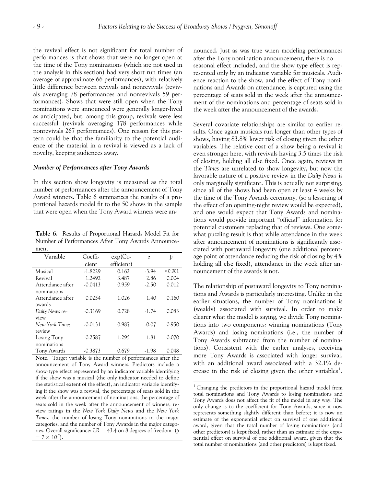$\overline{a}$ 

the revival effect is not significant for total number of performances is that shows that were no longer open at the time of the Tony nominations (which are not used in the analysis in this section) had very short run times (an average of approximate 66 performances), with relatively little difference between revivals and nonrevivals (revivals averaging 78 performances and nonrevivals 59 performances). Shows that were still open when the Tony nominations were announced were generally longer-lived as anticipated, but, among this group, revivals were less successful (revivals averaging 178 performances while nonrevivals 267 performances). One reason for this pattern could be that the familiarity to the potential audience of the material in a revival is viewed as a lack of novelty, keeping audiences away.

#### *Number of Performances after Tony Awards*

In this section show longevity is measured as the total number of performances after the announcement of Tony Award winners. Table 6 summarizes the results of a proportional hazards model fit to the 50 shows in the sample that were open when the Tony Award winners were an-

**Table 6.** Results of Proportional Hazards Model Fit for Number of Performances After Tony Awards Announcement

| Variable         | Coeffi-   | $exp(Co-$  | $\widetilde{\mathcal{X}}$ | Þ       |
|------------------|-----------|------------|---------------------------|---------|
|                  | cient     | efficient) |                           |         |
| Musical          | $-1.8229$ | 0.162      | $-3.94$                   | < 0.001 |
| Revival          | 1.2492    | 3.487      | 2.86                      | 0.004   |
| Attendance after | $-0.0413$ | 0.959      | $-2.50$                   | 0.012   |
| nominations      |           |            |                           |         |
| Attendance after | 0.0254    | 1.026      | 1.40                      | 0.160   |
| awards           |           |            |                           |         |
| Daily News re-   | $-0.3169$ | 0.728      | $-1.74$                   | 0.083   |
| view             |           |            |                           |         |
| New York Times   | $-0.0131$ | 0.987      | $-0.07$                   | 0.950   |
| review           |           |            |                           |         |
| Losing Tony      | 0.2587    | 1.295      | 1.81                      | 0.070   |
| nominations      |           |            |                           |         |
| Tony Awards      | $-0.3873$ | 0.679      | -1.98                     | 0.048   |

<span id="page-8-0"></span>**Note.** Target variable is the number of performances after the announcement of Tony Award winners. Predictors include a show-type effect represented by an indicator variable identifying if the show was a musical (the only indicator needed to define the statistical extent of the effect), an indicator variable identifying if the show was a revival, the percentage of seats sold in the week after the announcement of nominations, the percentage of seats sold in the week after the announcement of winners, review ratings in the *New York Daily News* and the *New York Times*, the number of losing Tony nominations in the major categories, and the number of Tony Awards in the major categories. Overall significance: *LR* = 43.4 on 8 degrees of freedom (*p*  $= 7 \times 10^{-7}$ .

nounced. Just as was true when modeling performances after the Tony nomination announcement, there is no seasonal effect included, and the show type effect is represented only by an indicator variable for musicals. Audience reaction to the show, and the effect of Tony nominations and Awards on attendance, is captured using the percentage of seats sold in the week after the announcement of the nominations and percentage of seats sold in the week after the announcement of the awards.

Several covariate relationships are similar to earlier results. Once again musicals run longer than other types of shows, having 83.8% lower risk of closing given the other variables. The relative cost of a show being a revival is even stronger here, with revivals having 3.5 times the risk of closing, holding all else fixed. Once again, reviews in the *Times* are unrelated to show longevity, but now the favorable nature of a positive review in the *Daily News* is only marginally significant. This is actually not surprising, since all of the shows had been open at least 4 weeks by the time of the Tony Awards ceremony, (so a lessening of the effect of an opening-night review would be expected), and one would expect that Tony Awards and nominations would provide important "official" information for potential customers replacing that of reviews. One somewhat puzzling result is that while attendance in the week after announcement of nominations is significantly associated with postaward longevity (one additional percentage point of attendance reducing the risk of closing by 4% holding all else fixed), attendance in the week after announcement of the awards is not.

The relationship of postaward longevity to Tony nominations and Awards is particularly interesting. Unlike in the earlier situations, the number of Tony nominations is (weakly) associated with survival. In order to make clearer what the model is saying, we divide Tony nominations into two components: winning nominations (Tony Awards) and losing nominations (i.e., the number of Tony Awards subtracted from the number of nominations). Consistent with the earlier analyses, receiving more Tony Awards is associated with longer survival, with an additional award associated with a 32.1% de-crease in the risk of closing given the other variables<sup>[1](#page-8-0)</sup>.

<sup>&</sup>lt;sup>1</sup> Changing the predictors in the proportional hazard model from total nominations and Tony Awards to losing nominations and Tony Awards does not affect the fit of the model in any way. The only change is to the coefficient for Tony Awards, since it now represents something slightly different than before; it is now an estimate of the exponential effect on survival of one additional award, given that the total number of losing nominations (and other predictors) is kept fixed, rather than an estimate of the exponential effect on survival of one additional award, given that the total number of nominations (and other predictors) is kept fixed.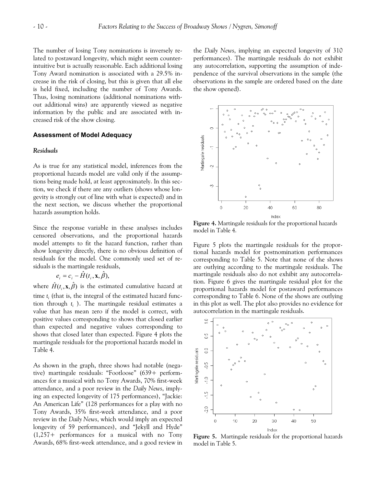The number of losing Tony nominations is inversely related to postaward longevity, which might seem counterintuitive but is actually reasonable. Each additional losing Tony Award nomination is associated with a 29.5% increase in the risk of closing, but this is given that all else is held fixed, including the number of Tony Awards. Thus, losing nominations (additional nominations without additional wins) are apparently viewed as negative information by the public and are associated with increased risk of the show closing.

## **Assessment of Model Adequacy**

#### *Residuals*

As is true for any statistical model, inferences from the proportional hazards model are valid only if the assumptions being made hold, at least approximately. In this section, we check if there are any outliers (shows whose longevity is strongly out of line with what is expected) and in the next section, we discuss whether the proportional hazards assumption holds.

Since the response variable in these analyses includes censored observations, and the proportional hazards model attempts to fit the hazard function, rather than show longevity directly, there is no obvious definition of residuals for the model. One commonly used set of residuals is the martingale residuals,

$$
e_i = c_i - \hat{H}(t_i, \mathbf{x}, \hat{\beta}),
$$

where  $\hat{H}(t_i, \mathbf{x}, \hat{\beta})$  is the estimated cumulative hazard at time  $t_i$  (that is, the integral of the estimated hazard function through *ti* ). The martingale residual estimates a value that has mean zero if the model is correct, with positive values corresponding to shows that closed earlier than expected and negative values corresponding to shows that closed later than expected. Figure 4 plots the martingale residuals for the proportional hazards model in Table 4.

As shown in the graph, three shows had notable (negative) martingale residuals: "Footloose" (639+ performances for a musical with no Tony Awards, 70% first-week attendance, and a poor review in the *Daily News*, implying an expected longevity of 175 performances), "Jackie: An American Life" (128 performances for a play with no Tony Awards, 35% first-week attendance, and a poor review in the *Daily News*, which would imply an expected longevity of 59 performances), and "Jekyll and Hyde" (1,257+ performances for a musical with no Tony Awards, 68% first-week attendance, and a good review in the *Daily News*, implying an expected longevity of 310 performances). The martingale residuals do not exhibit any autocorrelation, supporting the assumption of independence of the survival observations in the sample (the observations in the sample are ordered based on the date the show opened).



**Figure 4.** Martingale residuals for the proportional hazards model in Table 4.

Figure 5 plots the martingale residuals for the proportional hazards model for postnomination performances corresponding to Table 5. Note that none of the shows are outlying according to the martingale residuals. The martingale residuals also do not exhibit any autocorrelation. Figure 6 gives the martingale residual plot for the proportional hazards model for postaward performances corresponding to Table 6. None of the shows are outlying in this plot as well. The plot also provides no evidence for autocorrelation in the martingale residuals.



**Figure 5.** Martingale residuals for the proportional hazards model in Table 5.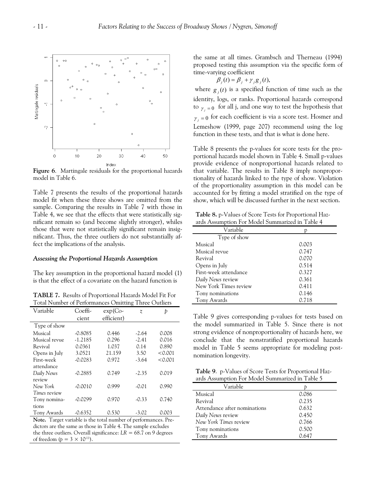

**Figure 6**. Martingale residuals for the proportional hazards model in Table 6.

Table 7 presents the results of the proportional hazards model fit when these three shows are omitted from the sample. Comparing the results in Table 7 with those in Table 4, we see that the effects that were statistically significant remain so (and become slightly stronger), whiles those that were not statistically significant remain insignificant. Thus, the three outliers do not substantially affect the implications of the analysis.

#### *Assessing the Proportional Hazards Assumption*

The key assumption in the proportional hazard model (1) is that the effect of a covariate on the hazard function is

**TABLE 7.** Results of Proportional Hazards Model Fit For Total Number of Performances Omitting Three Outliers

| Variable      | Coeffi-   | $exp(C_0 -$ | $\widetilde{\mathcal{X}}$ | Þ       |
|---------------|-----------|-------------|---------------------------|---------|
|               | cient     | efficient)  |                           |         |
| Type of show  |           |             |                           |         |
| Musical       | $-0.8085$ | 0.446       | $-2.64$                   | 0.008   |
| Musical revue | $-1.2185$ | 0.296       | $-2.41$                   | 0.016   |
| Revival       | 0.0361    | 1.037       | 0.14                      | 0.890   |
| Opens in July | 3.0521    | 21.159      | 3.50                      | < 0.001 |
| First-week    | $-0.0283$ | 0.972       | $-3.64$                   | < 0.001 |
| attendance    |           |             |                           |         |
| Daily News    | $-0.2885$ | 0.749       | $-2.35$                   | 0.019   |
| review        |           |             |                           |         |
| New York      | -0.0010   | 0.999       | $-0.01$                   | 0.990   |
| Times review  |           |             |                           |         |
| Tony nomina-  | $-0.0299$ | 0.970       | $-0.33$                   | 0.740   |
| tions         |           |             |                           |         |
| Tony Awards   | $-0.6352$ | 0.530       | $-3.02$                   | 0.003   |

**Note.** Target variable is the total number of performances. Predictors are the same as those in Table 4. The sample excludes the three outliers. Overall significance:  $LR = 68.7$  on 9 degrees of freedom ( $p = 3 \times 10^{-11}$ ).

the same at all times. Grambsch and Therneau (1994) proposed testing this assumption via the specific form of time-varying coefficient

 $\beta_i(t) = \beta_i + \gamma_i g_i(t)$ ,

where  $g_j(t)$  is a specified function of time such as the identity, logs, or ranks. Proportional hazards correspond to  $\gamma_{j} = 0$  for all j, and one way to test the hypothesis that  $\gamma_i = 0$  for each coefficient is via a score test. Hosmer and Lemeshow (1999, page 207) recommend using the log function in these tests, and that is what is done here.

Table 8 presents the p-values for score tests for the proportional hazards model shown in Table 4. Small p-values provide evidence of nonproportional hazards related to that variable. The results in Table 8 imply nonproportionality of hazards linked to the type of show. Violation of the proportionality assumption in this model can be accounted for by fitting a model stratified on the type of show, which will be discussed further in the next section.

**Table 8.** p-Values of Score Tests for Proportional Hazards Assumption For Model Summarized in Table 4

| Variable              |       |
|-----------------------|-------|
| Type of show          |       |
| Musical               | 0.003 |
| Musical revue         | 0.747 |
| Revival               | 0.070 |
| Opens in July         | 0.514 |
| First-week attendance | 0.327 |
| Daily News review     | 0.361 |
| New York Times review | 0.411 |
| Tony nominations      | 0.146 |
| Tony Awards           | 0.718 |

Table 9 gives corresponding p-values for tests based on the model summarized in Table 5. Since there is not strong evidence of nonproportionality of hazards here, we conclude that the nonstratified proportional hazards model in Table 5 seems appropriate for modeling postnomination longevity.

**Table 9**. p-Values of Score Tests for Proportional Hazards Assumption For Model Summarized in Table 5

| Variable                     |       |
|------------------------------|-------|
| Musical                      | 0.086 |
| Revival                      | 0.235 |
| Attendance after nominations | 0.632 |
| Daily News review            | 0.450 |
| New York Times review        | 0.766 |
| Tony nominations             | 0.500 |
| Tony Awards                  | 0.647 |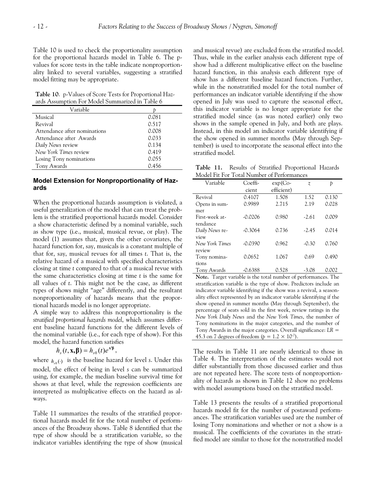Table 10 is used to check the proportionality assumption for the proportional hazards model in Table 6. The pvalues for score tests in the table indicate nonproportionality linked to several variables, suggesting a stratified model fitting may be appropriate.

**Table 10**. p-Values of Score Tests for Proportional Hazards Assumption For Model Summarized in Table 6

| Variable                     |       |
|------------------------------|-------|
| Musical                      | 0.081 |
| Revival                      | 0.517 |
| Attendance after nominations | 0.008 |
| Attendance after Awards      | 0.033 |
| Daily News review            | 0.134 |
| New York Times review        | 0.419 |
| Losing Tony nominations      | 0.055 |
| Tony Awards                  | 0.456 |
|                              |       |

# **Model Extension for Nonproportionality of Hazards**

When the proportional hazards assumption is violated, a useful generalization of the model that can treat the problem is the stratified proportional hazards model. Consider a show characteristic defined by a nominal variable, such as show type (i.e., musical, musical revue, or play). The model (1) assumes that, given the other covariates, the hazard function for, say, musicals is a constant multiple of that for, say, musical revues for all times *t*. That is, the relative hazard of a musical with specified characteristics closing at time *t* compared to that of a musical revue with the same characteristics closing at time *t* is the same for all values of *t*. This might not be the case, as different types of shows might "age" differently, and the resultant nonproportionality of hazards means that the proportional hazards model is no longer appropriate.

A simple way to address this nonproportionality is the *stratified proportional hazards model*, which assumes different baseline hazard functions for the different levels of the nominal variable (i.e., for each type of show). For this model, the hazard function satisfies

$$
h_s(t, \mathbf{x}, \boldsymbol{\beta}) = h_{s0}(t)e^{\mathbf{x}'\boldsymbol{\beta}},
$$

where  $h_{s0}(\cdot)$  is the baseline hazard for level *s*. Under this model, the effect of being in level *s* can be summarized using, for example, the median baseline survival time for shows at that level, while the regression coefficients are interpreted as multiplicative effects on the hazard as always.

Table 11 summarizes the results of the stratified proportional hazards model fit for the total number of performances of the Broadway shows. Table 8 identified that the type of show should be a stratification variable, so the indicator variables identifying the type of show (musical and musical revue) are excluded from the stratified model. Thus, while in the earlier analysis each different type of show had a different multiplicative effect on the baseline hazard function, in this analysis each different type of show has a different baseline hazard function. Further, while in the nonstratified model for the total number of performances an indicator variable identifying if the show opened in July was used to capture the seasonal effect, this indicator variable is no longer appropriate for the stratified model since (as was noted earlier) only two shows in the sample opened in July, and both are plays. Instead, in this model an indicator variable identifying if the show opened in summer months (May through September) is used to incorporate the seasonal effect into the stratified model.

**Table 11.** Results of Stratified Proportional Hazards Model Fit For Total Number of Performances

| $\mathcal{L}$ is contributed. |           |             |                |       |  |
|-------------------------------|-----------|-------------|----------------|-------|--|
| Variable                      | Coeffi-   | $exp(C_0 -$ | $\overline{z}$ | Þ     |  |
|                               | cient     | efficient)  |                |       |  |
| Revival                       | 0.4107    | 1.508       | 1.52           | 0.130 |  |
| Opens in sum-                 | 0.9989    | 2.715       | 2.19           | 0.028 |  |
| mer                           |           |             |                |       |  |
| First-week at-                | $-0.0206$ | 0.980       | $-2.61$        | 0.009 |  |
| tendance                      |           |             |                |       |  |
| Daily News re-                | $-0.3064$ | 0.736       | $-2.45$        | 0.014 |  |
| view                          |           |             |                |       |  |
| New York Times                | $-0.0390$ | 0.962       | $-0.30$        | 0.760 |  |
| review                        |           |             |                |       |  |
| Tony nomina-                  | 0.0652    | 1.067       | 0.69           | 0.490 |  |
| tions                         |           |             |                |       |  |
| Tony Awards                   | $-0.6388$ | 0.528       | $-3.08$        | 0.002 |  |

**Note.** Target variable is the total number of performances. The stratification variable is the type of show. Predictors include an indicator variable identifying if the show was a revival, a seasonality effect represented by an indicator variable identifying if the show opened in summer months (May through September), the percentage of seats sold in the first week, review ratings in the *New York Daily News* and the *New York Times*, the number of Tony nominations in the major categories, and the number of Tony Awards in the major categories. Overall significance: *LR* = 45.3 on 7 degrees of freedom ( $p = 1.2 \times 10^{-7}$ ).

The results in Table 11 are nearly identical to those in Table 4. The interpretation of the estimates would not differ substantially from those discussed earlier and thus are not repeated here. The score tests of nonproportionality of hazards as shown in Table 12 show no problems with model assumptions based on the stratified model.

Table 13 presents the results of a stratified proportional hazards model fit for the number of postaward performances. The stratification variables used are the number of losing Tony nominations and whether or not a show is a musical. The coefficients of the covariates in the stratified model are similar to those for the nonstratified model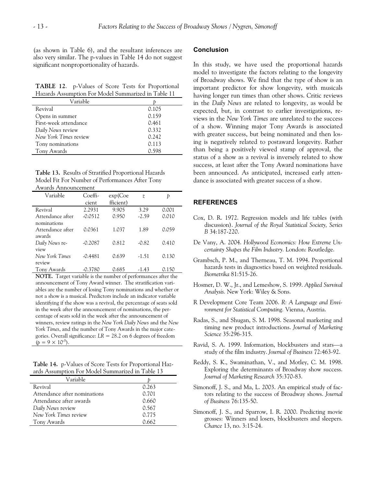(as shown in Table 6), and the resultant inferences are also very similar. The p-values in Table 14 do not suggest significant nonproportionality of hazards.

**TABLE 12**. p-Values of Score Tests for Proportional Hazards Assumption For Model Summarized in Table 11

| Variable              |       |  |
|-----------------------|-------|--|
| Revival               | 0.105 |  |
| Opens in summer       | 0.159 |  |
| First-week attendance | 0.461 |  |
| Daily News review     | 0.332 |  |
| New York Times review | 0.242 |  |
| Tony nominations      | 0.113 |  |
| Tony Awards           | 0.598 |  |

**Table 13.** Results of Stratified Proportional Hazards Model Fit For Number of Performances After Tony Awards Announcement

| Variable         | Coeffi-   | exp(Coe   | z       | Þ     |
|------------------|-----------|-----------|---------|-------|
|                  | cient     | fficient) |         |       |
| Revival          | 2.2931    | 9.905     | 3.29    | 0.001 |
| Attendance after | $-0.0512$ | 0.950     | $-2.59$ | 0.010 |
| nominations      |           |           |         |       |
| Attendance after | 0.0361    | 1.037     | 1.89    | 0.059 |
| awards           |           |           |         |       |
| Daily News re-   | $-0.2087$ | 0.812     | $-0.82$ | 0.410 |
| view             |           |           |         |       |
| New York Times   | $-0.4481$ | 0.639     | $-1.51$ | 0.130 |
| review           |           |           |         |       |
| Tony Awards      | $-0.3780$ | 0.685     | -1.43   | 0.150 |

**NOTE.** Target variable is the number of performances after the announcement of Tony Award winner. The stratification variables are the number of losing Tony nominations and whether or not a show is a musical. Predictors include an indicator variable identifying if the show was a revival, the percentage of seats sold in the week after the announcement of nominations, the percentage of seats sold in the week after the announcement of winners, review ratings in the *New York Daily News* and the *New York Times*, and the number of Tony Awards in the major categories. Overall significance: *LR* = 28.2 on 6 degrees of freedom  $(p = 9 \times 10^{-5})$ .

**Table 14.** p-Values of Score Tests for Proportional Hazards Assumption For Model Summarized in Table 13

| Variable                     |       |  |
|------------------------------|-------|--|
| Revival                      | 0.263 |  |
| Attendance after nominations | 0.701 |  |
| Attendance after awards      | 0.660 |  |
| Daily News review            | 0.567 |  |
| New York Times review        | 0.775 |  |
| Tony Awards                  | 0.662 |  |

# **Conclusion**

In this study, we have used the proportional hazards model to investigate the factors relating to the longevity of Broadway shows. We find that the type of show is an important predictor for show longevity, with musicals having longer run times than other shows. Critic reviews in the *Daily News* are related to longevity, as would be expected, but, in contrast to earlier investigations, reviews in the *New York Times* are unrelated to the success of a show. Winning major Tony Awards is associated with greater success, but being nominated and then losing is negatively related to postaward longevity. Rather than being a positively viewed stamp of approval, the status of a show as a revival is inversely related to show success, at least after the Tony Award nominations have been announced. As anticipated, increased early attendance is associated with greater success of a show.

## **REFERENCES**

- Cox, D. R. 1972. Regression models and life tables (with discussion). *Journal of the Royal Statistical Society, Series B* 34:187-220.
- De Vany, A. 2004. *Hollywood Economics: How Extreme Uncertainty Shapes the Film Industry.* London: Routledge.
- Grambsch, P. M., and Therneau, T. M. 1994. Proportional hazards tests in diagnostics based on weighted residuals. *Biometrika* 81:515-26.
- Hosmer, D. W., Jr., and Lemeshow, S. 1999. *Applied Survival Analysis.* New York: Wiley & Sons.
- R Development Core Team 2006. *R: A Language and Environment for Statistical Computing.* Vienna, Austria.
- Radas, S., and Shugan, S. M. 1998. Seasonal marketing and timing new product introductions. *Journal of Marketing Science* 35:296-315.
- Ravid, S. A. 1999. Information, blockbusters and stars—a study of the film industry. *Journal of Business* 72:463-92.
- Reddy, S. K., Swaminathan, V., and Motley, C. M. 1998. Exploring the determinants of Broadway show success. *Journal of Marketing Research* 35:370-83.
- Simonoff, J. S., and Ma, L. 2003. An empirical study of factors relating to the success of Broadway shows. *Journal of Business* 76:135-50.
- Simonoff, J. S., and Sparrow, I. R. 2000. Predicting movie grosses: Winners and losers, blockbusters and sleepers. *Chance* 13, no. 3:15-24.